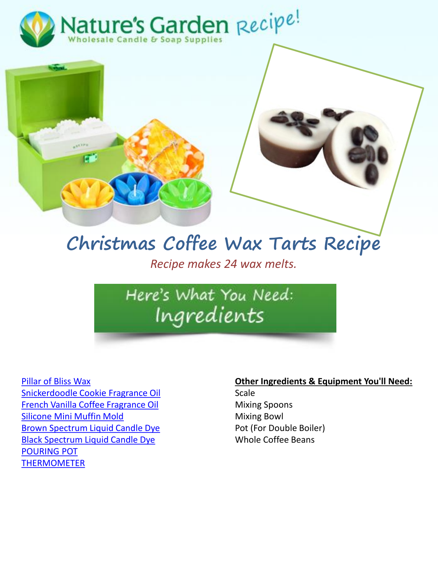



## **Christmas Coffee Wax Tarts Recipe**

*Recipe makes 24 wax melts.* 

## Here's What You Need: Ingredients

[Pillar of Bliss Wax](http://www.naturesgardencandles.com/candle-wax/pillar-of-bliss-wax-10-pounds) [Snickerdoodle Cookie Fragrance Oil](https://www.naturesgardencandles.com/snickerdoodle-cookies-fragrance-oil) [French Vanilla Coffee Fragrance Oil](https://www.naturesgardencandles.com/french-vanilla-coffee-fragrance-oil) [Silicone Mini Muffin Mold](https://www.naturesgardencandles.com/silicone-soap-mold-12-mini-muffins) [Brown Spectrum Liquid Candle Dye](https://www.naturesgardencandles.com/spectrum-brown-liquid-candle-dye) [Black Spectrum Liquid Candle Dye](https://www.naturesgardencandles.com/spectrum-black-liquid-candle-dye) [POURING POT](http://www.naturesgardencandles.com/pouring-pot-for-candle-making) [THERMOMETER](http://www.naturesgardencandles.com/thermometer-candle-soap)

## **Other Ingredients & Equipment You'll Need:**

Scale Mixing Spoons Mixing Bowl Pot (For Double Boiler) Whole Coffee Beans